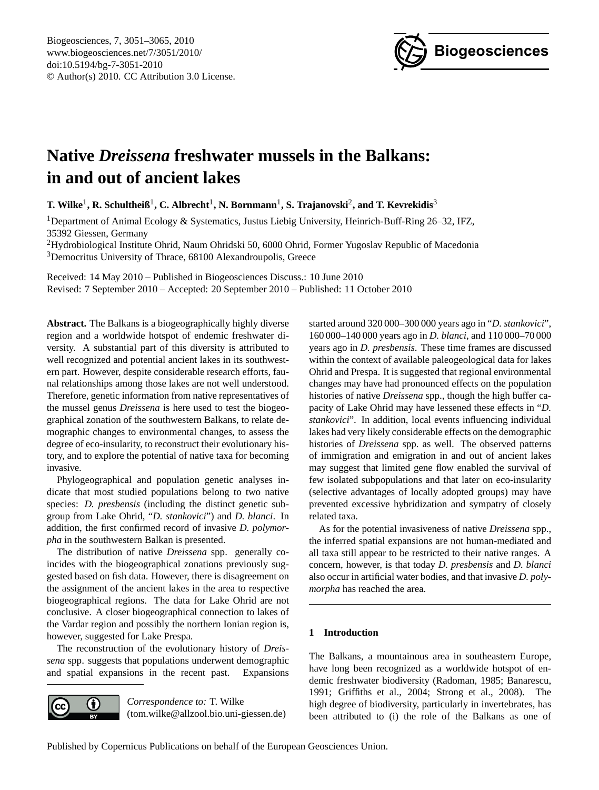

# <span id="page-0-0"></span>**Native** *Dreissena* **freshwater mussels in the Balkans: in and out of ancient lakes**

 $\bf{T. Wilke}^1, \bf{R. Schulthei} \rm{B}^1, \bf{C. Albrecht}^1, \bf{N. Bornmann}^1, \bf{S. Trajanovski}^2, \bf{and T. Kevrekidis}^3$ 

<sup>1</sup>Department of Animal Ecology & Systematics, Justus Liebig University, Heinrich-Buff-Ring 26–32, IFZ, 35392 Giessen, Germany

<sup>2</sup>Hydrobiological Institute Ohrid, Naum Ohridski 50, 6000 Ohrid, Former Yugoslav Republic of Macedonia <sup>3</sup>Democritus University of Thrace, 68100 Alexandroupolis, Greece

Received: 14 May 2010 – Published in Biogeosciences Discuss.: 10 June 2010 Revised: 7 September 2010 – Accepted: 20 September 2010 – Published: 11 October 2010

**Abstract.** The Balkans is a biogeographically highly diverse region and a worldwide hotspot of endemic freshwater diversity. A substantial part of this diversity is attributed to well recognized and potential ancient lakes in its southwestern part. However, despite considerable research efforts, faunal relationships among those lakes are not well understood. Therefore, genetic information from native representatives of the mussel genus *Dreissena* is here used to test the biogeographical zonation of the southwestern Balkans, to relate demographic changes to environmental changes, to assess the degree of eco-insularity, to reconstruct their evolutionary history, and to explore the potential of native taxa for becoming invasive.

Phylogeographical and population genetic analyses indicate that most studied populations belong to two native species: *D. presbensis* (including the distinct genetic subgroup from Lake Ohrid, "*D. stankovici*") and *D. blanci*. In addition, the first confirmed record of invasive *D. polymorpha* in the southwestern Balkan is presented.

The distribution of native *Dreissena* spp. generally coincides with the biogeographical zonations previously suggested based on fish data. However, there is disagreement on the assignment of the ancient lakes in the area to respective biogeographical regions. The data for Lake Ohrid are not conclusive. A closer biogeographical connection to lakes of the Vardar region and possibly the northern Ionian region is, however, suggested for Lake Prespa.

The reconstruction of the evolutionary history of *Dreissena* spp. suggests that populations underwent demographic and spatial expansions in the recent past. Expansions



*Correspondence to:* T. Wilke (tom.wilke@allzool.bio.uni-giessen.de)

started around 320 000–300 000 years ago in "*D. stankovici*", 160 000–140 000 years ago in *D. blanci*, and 110 000–70 000 years ago in *D. presbensis*. These time frames are discussed within the context of available paleogeological data for lakes Ohrid and Prespa. It is suggested that regional environmental changes may have had pronounced effects on the population histories of native *Dreissena* spp., though the high buffer capacity of Lake Ohrid may have lessened these effects in "*D. stankovici*". In addition, local events influencing individual lakes had very likely considerable effects on the demographic histories of *Dreissena* spp. as well. The observed patterns of immigration and emigration in and out of ancient lakes may suggest that limited gene flow enabled the survival of few isolated subpopulations and that later on eco-insularity (selective advantages of locally adopted groups) may have prevented excessive hybridization and sympatry of closely related taxa.

As for the potential invasiveness of native *Dreissena* spp., the inferred spatial expansions are not human-mediated and all taxa still appear to be restricted to their native ranges. A concern, however, is that today *D. presbensis* and *D. blanci* also occur in artificial water bodies, and that invasive *D. polymorpha* has reached the area.

# **1 Introduction**

The Balkans, a mountainous area in southeastern Europe, have long been recognized as a worldwide hotspot of endemic freshwater biodiversity (Radoman, 1985; Banarescu, 1991; Griffiths et al., 2004; Strong et al., 2008). The high degree of biodiversity, particularly in invertebrates, has been attributed to (i) the role of the Balkans as one of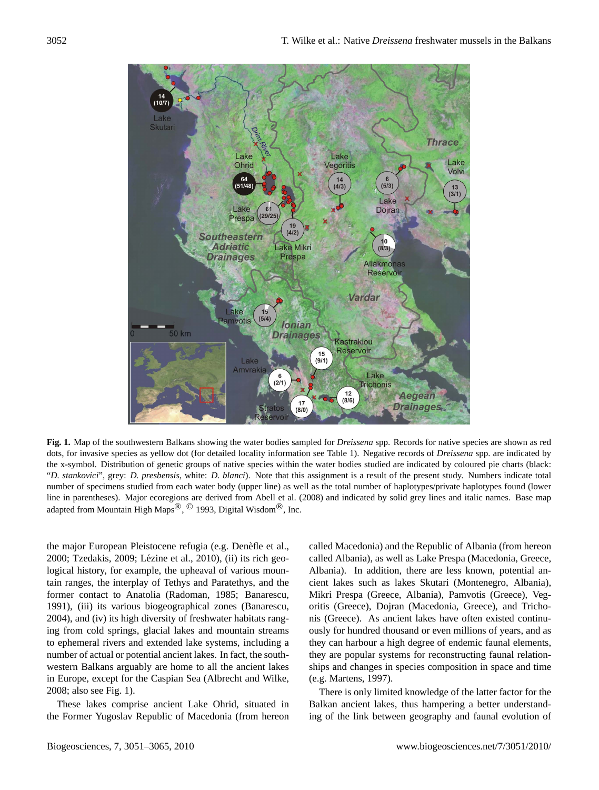

**Fig. 1.** Map of the southwestern Balkans showing the water bodies sampled for *Dreissena* spp. Records for native species are shown as red dots, for invasive species as yellow dot (for detailed locality information see Table 1). Negative records of *Dreissena* spp. are indicated by the x-symbol. Distribution of genetic groups of native species within the water bodies studied are indicated by coloured pie charts (black: "*D. stankovici*", grey: *D. presbensis*, white: *D. blanci*). Note that this assignment is a result of the present study. Numbers indicate total number of specimens studied from each water body (upper line) as well as the total number of haplotypes/private haplotypes found (lower line in parentheses). Major ecoregions are derived from Abell et al. (2008) and indicated by solid grey lines and italic names. Base map adapted from Mountain High Maps $^{\circledR},^{\circledR}$  1993, Digital Wisdom $^{\circledR}$ , Inc.

the major European Pleistocene refugia (e.g. Denèfle et al., 2000; Tzedakis, 2009; Lézine et al., 2010), (ii) its rich geological history, for example, the upheaval of various mountain ranges, the interplay of Tethys and Paratethys, and the former contact to Anatolia (Radoman, 1985; Banarescu, 1991), (iii) its various biogeographical zones (Banarescu, 2004), and (iv) its high diversity of freshwater habitats ranging from cold springs, glacial lakes and mountain streams to ephemeral rivers and extended lake systems, including a number of actual or potential ancient lakes. In fact, the southwestern Balkans arguably are home to all the ancient lakes in Europe, except for the Caspian Sea (Albrecht and Wilke, 2008; also see Fig. 1).

These lakes comprise ancient Lake Ohrid, situated in the Former Yugoslav Republic of Macedonia (from hereon

called Macedonia) and the Republic of Albania (from hereon called Albania), as well as Lake Prespa (Macedonia, Greece, Albania). In addition, there are less known, potential ancient lakes such as lakes Skutari (Montenegro, Albania), Mikri Prespa (Greece, Albania), Pamvotis (Greece), Vegoritis (Greece), Dojran (Macedonia, Greece), and Trichonis (Greece). As ancient lakes have often existed continuously for hundred thousand or even millions of years, and as they can harbour a high degree of endemic faunal elements, they are popular systems for reconstructing faunal relationships and changes in species composition in space and time (e.g. Martens, 1997).

There is only limited knowledge of the latter factor for the Balkan ancient lakes, thus hampering a better understanding of the link between geography and faunal evolution of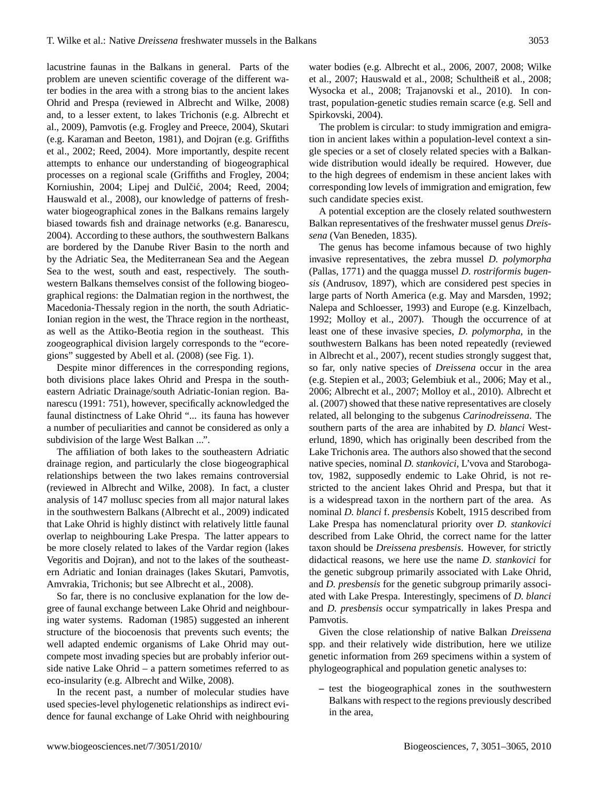lacustrine faunas in the Balkans in general. Parts of the problem are uneven scientific coverage of the different water bodies in the area with a strong bias to the ancient lakes Ohrid and Prespa (reviewed in Albrecht and Wilke, 2008) and, to a lesser extent, to lakes Trichonis (e.g. Albrecht et al., 2009), Pamvotis (e.g. Frogley and Preece, 2004), Skutari (e.g. Karaman and Beeton, 1981), and Dojran (e.g. Griffiths et al., 2002; Reed, 2004). More importantly, despite recent attempts to enhance our understanding of biogeographical processes on a regional scale (Griffiths and Frogley, 2004; Korniushin, 2004; Lipej and Dulčić, 2004; Reed, 2004; Hauswald et al., 2008), our knowledge of patterns of freshwater biogeographical zones in the Balkans remains largely biased towards fish and drainage networks (e.g. Banarescu, 2004). According to these authors, the southwestern Balkans are bordered by the Danube River Basin to the north and by the Adriatic Sea, the Mediterranean Sea and the Aegean Sea to the west, south and east, respectively. The southwestern Balkans themselves consist of the following biogeographical regions: the Dalmatian region in the northwest, the Macedonia-Thessaly region in the north, the south Adriatic-Ionian region in the west, the Thrace region in the northeast, as well as the Attiko-Beotia region in the southeast. This zoogeographical division largely corresponds to the "ecoregions" suggested by Abell et al. (2008) (see Fig. 1).

Despite minor differences in the corresponding regions, both divisions place lakes Ohrid and Prespa in the southeastern Adriatic Drainage/south Adriatic-Ionian region. Banarescu (1991: 751), however, specifically acknowledged the faunal distinctness of Lake Ohrid "... its fauna has however a number of peculiarities and cannot be considered as only a subdivision of the large West Balkan ...".

The affiliation of both lakes to the southeastern Adriatic drainage region, and particularly the close biogeographical relationships between the two lakes remains controversial (reviewed in Albrecht and Wilke, 2008). In fact, a cluster analysis of 147 mollusc species from all major natural lakes in the southwestern Balkans (Albrecht et al., 2009) indicated that Lake Ohrid is highly distinct with relatively little faunal overlap to neighbouring Lake Prespa. The latter appears to be more closely related to lakes of the Vardar region (lakes Vegoritis and Dojran), and not to the lakes of the southeastern Adriatic and Ionian drainages (lakes Skutari, Pamvotis, Amvrakia, Trichonis; but see Albrecht et al., 2008).

So far, there is no conclusive explanation for the low degree of faunal exchange between Lake Ohrid and neighbouring water systems. Radoman (1985) suggested an inherent structure of the biocoenosis that prevents such events; the well adapted endemic organisms of Lake Ohrid may outcompete most invading species but are probably inferior outside native Lake Ohrid – a pattern sometimes referred to as eco-insularity (e.g. Albrecht and Wilke, 2008).

In the recent past, a number of molecular studies have used species-level phylogenetic relationships as indirect evidence for faunal exchange of Lake Ohrid with neighbouring

water bodies (e.g. Albrecht et al., 2006, 2007, 2008; Wilke et al., 2007; Hauswald et al., 2008; Schultheiß et al., 2008; Wysocka et al., 2008; Trajanovski et al., 2010). In contrast, population-genetic studies remain scarce (e.g. Sell and Spirkovski, 2004).

The problem is circular: to study immigration and emigration in ancient lakes within a population-level context a single species or a set of closely related species with a Balkanwide distribution would ideally be required. However, due to the high degrees of endemism in these ancient lakes with corresponding low levels of immigration and emigration, few such candidate species exist.

A potential exception are the closely related southwestern Balkan representatives of the freshwater mussel genus *Dreissena* (Van Beneden, 1835).

The genus has become infamous because of two highly invasive representatives, the zebra mussel *D. polymorpha* (Pallas, 1771) and the quagga mussel *D. rostriformis bugensis* (Andrusov, 1897), which are considered pest species in large parts of North America (e.g. May and Marsden, 1992; Nalepa and Schloesser, 1993) and Europe (e.g. Kinzelbach, 1992; Molloy et al., 2007). Though the occurrence of at least one of these invasive species, *D. polymorpha*, in the southwestern Balkans has been noted repeatedly (reviewed in Albrecht et al., 2007), recent studies strongly suggest that, so far, only native species of *Dreissena* occur in the area (e.g. Stepien et al., 2003; Gelembiuk et al., 2006; May et al., 2006; Albrecht et al., 2007; Molloy et al., 2010). Albrecht et al. (2007) showed that these native representatives are closely related, all belonging to the subgenus *Carinodreissena*. The southern parts of the area are inhabited by *D. blanci* Westerlund, 1890, which has originally been described from the Lake Trichonis area. The authors also showed that the second native species, nominal *D. stankovici*, L'vova and Starobogatov, 1982, supposedly endemic to Lake Ohrid, is not restricted to the ancient lakes Ohrid and Prespa, but that it is a widespread taxon in the northern part of the area. As nominal *D. blanci* f. *presbensis* Kobelt, 1915 described from Lake Prespa has nomenclatural priority over *D. stankovici* described from Lake Ohrid, the correct name for the latter taxon should be *Dreissena presbensis*. However, for strictly didactical reasons, we here use the name *D. stankovici* for the genetic subgroup primarily associated with Lake Ohrid, and *D. presbensis* for the genetic subgroup primarily associated with Lake Prespa. Interestingly, specimens of *D. blanci* and *D. presbensis* occur sympatrically in lakes Prespa and Pamvotis.

Given the close relationship of native Balkan *Dreissena* spp. and their relatively wide distribution, here we utilize genetic information from 269 specimens within a system of phylogeographical and population genetic analyses to:

**–** test the biogeographical zones in the southwestern Balkans with respect to the regions previously described in the area,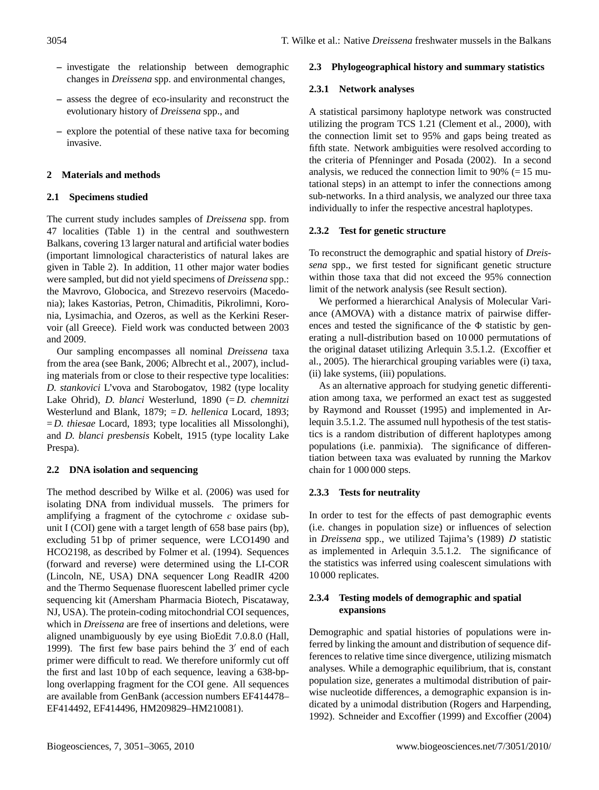- **–** investigate the relationship between demographic changes in *Dreissena* spp. and environmental changes,
- **–** assess the degree of eco-insularity and reconstruct the evolutionary history of *Dreissena* spp., and
- **–** explore the potential of these native taxa for becoming invasive.

# **2 Materials and methods**

# **2.1 Specimens studied**

The current study includes samples of *Dreissena* spp. from 47 localities (Table 1) in the central and southwestern Balkans, covering 13 larger natural and artificial water bodies (important limnological characteristics of natural lakes are given in Table 2). In addition, 11 other major water bodies were sampled, but did not yield specimens of *Dreissena* spp.: the Mavrovo, Globocica, and Strezevo reservoirs (Macedonia); lakes Kastorias, Petron, Chimaditis, Pikrolimni, Koronia, Lysimachia, and Ozeros, as well as the Kerkini Reservoir (all Greece). Field work was conducted between 2003 and 2009.

Our sampling encompasses all nominal *Dreissena* taxa from the area (see Bank, 2006; Albrecht et al., 2007), including materials from or close to their respective type localities: *D. stankovici* L'vova and Starobogatov, 1982 (type locality Lake Ohrid), *D. blanci* Westerlund, 1890 (= *D. chemnitzi* Westerlund and Blank, 1879; = *D. hellenica* Locard, 1893; = *D. thiesae* Locard, 1893; type localities all Missolonghi), and *D. blanci presbensis* Kobelt, 1915 (type locality Lake Prespa).

# **2.2 DNA isolation and sequencing**

The method described by Wilke et al. (2006) was used for isolating DNA from individual mussels. The primers for amplifying a fragment of the cytochrome  $c$  oxidase subunit I (COI) gene with a target length of 658 base pairs (bp), excluding 51 bp of primer sequence, were LCO1490 and HCO2198, as described by Folmer et al. (1994). Sequences (forward and reverse) were determined using the LI-COR (Lincoln, NE, USA) DNA sequencer Long ReadIR 4200 and the Thermo Sequenase fluorescent labelled primer cycle sequencing kit (Amersham Pharmacia Biotech, Piscataway, NJ, USA). The protein-coding mitochondrial COI sequences, which in *Dreissena* are free of insertions and deletions, were aligned unambiguously by eye using BioEdit 7.0.8.0 (Hall, 1999). The first few base pairs behind the  $3'$  end of each primer were difficult to read. We therefore uniformly cut off the first and last 10 bp of each sequence, leaving a 638-bplong overlapping fragment for the COI gene. All sequences are available from GenBank (accession numbers EF414478– EF414492, EF414496, HM209829–HM210081).

# **2.3 Phylogeographical history and summary statistics**

# **2.3.1 Network analyses**

A statistical parsimony haplotype network was constructed utilizing the program TCS 1.21 (Clement et al., 2000), with the connection limit set to 95% and gaps being treated as fifth state. Network ambiguities were resolved according to the criteria of Pfenninger and Posada (2002). In a second analysis, we reduced the connection limit to 90%  $(= 15 \text{ mu}$ tational steps) in an attempt to infer the connections among sub-networks. In a third analysis, we analyzed our three taxa individually to infer the respective ancestral haplotypes.

# **2.3.2 Test for genetic structure**

To reconstruct the demographic and spatial history of *Dreissena* spp., we first tested for significant genetic structure within those taxa that did not exceed the 95% connection limit of the network analysis (see Result section).

We performed a hierarchical Analysis of Molecular Variance (AMOVA) with a distance matrix of pairwise differences and tested the significance of the  $\Phi$  statistic by generating a null-distribution based on 10 000 permutations of the original dataset utilizing Arlequin 3.5.1.2. (Excoffier et al., 2005). The hierarchical grouping variables were (i) taxa, (ii) lake systems, (iii) populations.

As an alternative approach for studying genetic differentiation among taxa, we performed an exact test as suggested by Raymond and Rousset (1995) and implemented in Arlequin 3.5.1.2. The assumed null hypothesis of the test statistics is a random distribution of different haplotypes among populations (i.e. panmixia). The significance of differentiation between taxa was evaluated by running the Markov chain for 1 000 000 steps.

# **2.3.3 Tests for neutrality**

In order to test for the effects of past demographic events (i.e. changes in population size) or influences of selection in *Dreissena* spp., we utilized Tajima's (1989) D statistic as implemented in Arlequin 3.5.1.2. The significance of the statistics was inferred using coalescent simulations with 10 000 replicates.

# **2.3.4 Testing models of demographic and spatial expansions**

Demographic and spatial histories of populations were inferred by linking the amount and distribution of sequence differences to relative time since divergence, utilizing mismatch analyses. While a demographic equilibrium, that is, constant population size, generates a multimodal distribution of pairwise nucleotide differences, a demographic expansion is indicated by a unimodal distribution (Rogers and Harpending, 1992). Schneider and Excoffier (1999) and Excoffier (2004)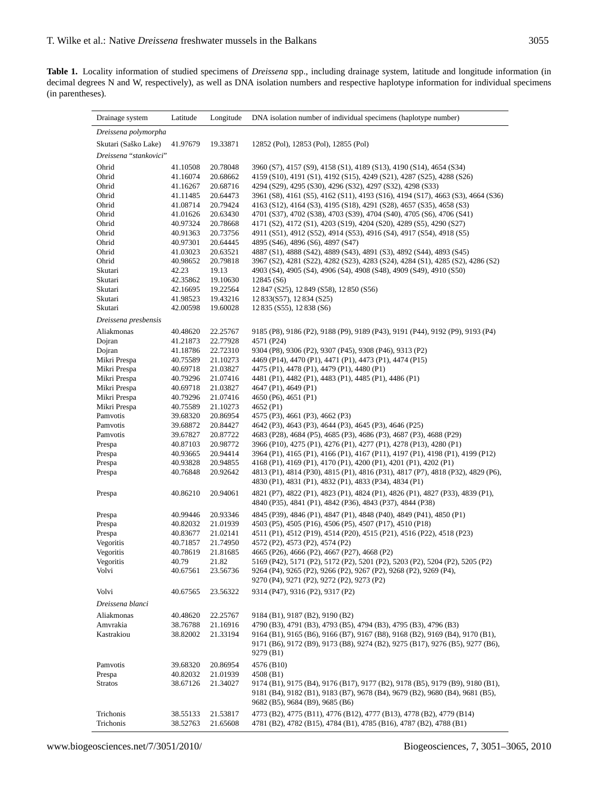**Table 1.** Locality information of studied specimens of *Dreissena* spp., including drainage system, latitude and longitude information (in decimal degrees N and W, respectively), as well as DNA isolation numbers and respective haplotype information for individual specimens (in parentheses).

| Drainage system              | Latitude             | Longitude            | DNA isolation number of individual specimens (haplotype number)                                                                            |
|------------------------------|----------------------|----------------------|--------------------------------------------------------------------------------------------------------------------------------------------|
| Dreissena polymorpha         |                      |                      |                                                                                                                                            |
| Skutari (Saško Lake)         | 41.97679             | 19.33871             | 12852 (Pol), 12853 (Pol), 12855 (Pol)                                                                                                      |
| Dreissena "stankovici"       |                      |                      |                                                                                                                                            |
| Ohrid                        |                      |                      |                                                                                                                                            |
| Ohrid                        | 41.10508<br>41.16074 | 20.78048             | 3960 (S7), 4157 (S9), 4158 (S1), 4189 (S13), 4190 (S14), 4654 (S34)                                                                        |
| Ohrid                        | 41.16267             | 20.68662<br>20.68716 | 4159 (S10), 4191 (S1), 4192 (S15), 4249 (S21), 4287 (S25), 4288 (S26)<br>4294 (S29), 4295 (S30), 4296 (S32), 4297 (S32), 4298 (S33)        |
| Ohrid                        | 41.11485             | 20.64473             | 3961 (S8), 4161 (S5), 4162 (S11), 4193 (S16), 4194 (S17), 4663 (S3), 4664 (S36)                                                            |
| Ohrid                        | 41.08714             | 20.79424             | 4163 (S12), 4164 (S3), 4195 (S18), 4291 (S28), 4657 (S35), 4658 (S3)                                                                       |
| Ohrid                        | 41.01626             | 20.63430             | 4701 (S37), 4702 (S38), 4703 (S39), 4704 (S40), 4705 (S6), 4706 (S41)                                                                      |
| Ohrid                        | 40.97324             | 20.78668             | 4171 (S2), 4172 (S1), 4203 (S19), 4204 (S20), 4289 (S5), 4290 (S27)                                                                        |
| Ohrid                        | 40.91363             | 20.73756             | 4911 (S51), 4912 (S52), 4914 (S53), 4916 (S4), 4917 (S54), 4918 (S5)                                                                       |
| Ohrid                        | 40.97301             | 20.64445             | 4895 (S46), 4896 (S6), 4897 (S47)                                                                                                          |
| Ohrid                        | 41.03023             | 20.63521             | 4887 (S1), 4888 (S42), 4889 (S43), 4891 (S3), 4892 (S44), 4893 (S45)                                                                       |
| Ohrid                        | 40.98652             | 20.79818             | 3967 (S2), 4281 (S22), 4282 (S23), 4283 (S24), 4284 (S1), 4285 (S2), 4286 (S2)                                                             |
| Skutari                      | 42.23                | 19.13                | 4903 (S4), 4905 (S4), 4906 (S4), 4908 (S48), 4909 (S49), 4910 (S50)                                                                        |
| Skutari                      | 42.35862             | 19.10630             | 12845 (S6)                                                                                                                                 |
| Skutari                      | 42.16695             | 19.22564             | 12 847 (S25), 12 849 (S58), 12 850 (S56)                                                                                                   |
| Skutari                      | 41.98523             | 19.43216             | 12 833(S57), 12 834 (S25)                                                                                                                  |
| Skutari                      | 42.00598             | 19.60028             | 12 835 (S55), 12 838 (S6)                                                                                                                  |
| Dreissena presbensis         |                      |                      |                                                                                                                                            |
| Aliakmonas                   | 40.48620             | 22.25767             | 9185 (P8), 9186 (P2), 9188 (P9), 9189 (P43), 9191 (P44), 9192 (P9), 9193 (P4)                                                              |
| Dojran                       | 41.21873             | 22.77928             | 4571 (P24)                                                                                                                                 |
| Dojran                       | 41.18786             | 22.72310             | 9304 (P8), 9306 (P2), 9307 (P45), 9308 (P46), 9313 (P2)                                                                                    |
| Mikri Prespa                 | 40.75589             | 21.10273             | 4469 (P14), 4470 (P1), 4471 (P1), 4473 (P1), 4474 (P15)                                                                                    |
| Mikri Prespa                 | 40.69718             | 21.03827             | 4475 (P1), 4478 (P1), 4479 (P1), 4480 (P1)                                                                                                 |
| Mikri Prespa                 | 40.79296             | 21.07416             | 4481 (P1), 4482 (P1), 4483 (P1), 4485 (P1), 4486 (P1)                                                                                      |
| Mikri Prespa                 | 40.69718<br>40.79296 | 21.03827             | 4647 (P1), 4649 (P1)<br>4650 (P6), 4651 (P1)                                                                                               |
| Mikri Prespa<br>Mikri Prespa | 40.75589             | 21.07416<br>21.10273 | 4652 (P1)                                                                                                                                  |
| Pamvotis                     | 39.68320             | 20.86954             | 4575 (P3), 4661 (P3), 4662 (P3)                                                                                                            |
| Pamvotis                     | 39.68872             | 20.84427             | 4642 (P3), 4643 (P3), 4644 (P3), 4645 (P3), 4646 (P25)                                                                                     |
| Pamvotis                     | 39.67827             | 20.87722             | 4683 (P28), 4684 (P5), 4685 (P3), 4686 (P3), 4687 (P3), 4688 (P29)                                                                         |
| Prespa                       | 40.87103             | 20.98772             | 3966 (P10), 4275 (P1), 4276 (P1), 4277 (P1), 4278 (P13), 4280 (P1)                                                                         |
| Prespa                       | 40.93665             | 20.94414             | 3964 (P1), 4165 (P1), 4166 (P1), 4167 (P11), 4197 (P1), 4198 (P1), 4199 (P12)                                                              |
| Prespa                       | 40.93828             | 20.94855             | 4168 (P1), 4169 (P1), 4170 (P1), 4200 (P1), 4201 (P1), 4202 (P1)                                                                           |
| Prespa                       | 40.76848             | 20.92642             | 4813 (P1), 4814 (P30), 4815 (P1), 4816 (P31), 4817 (P7), 4818 (P32), 4829 (P6),                                                            |
|                              |                      |                      | 4830 (P1), 4831 (P1), 4832 (P1), 4833 (P34), 4834 (P1)                                                                                     |
| Prespa                       | 40.86210             | 20.94061             | 4821 (P7), 4822 (P1), 4823 (P1), 4824 (P1), 4826 (P1), 4827 (P33), 4839 (P1),<br>4840 (P35), 4841 (P1), 4842 (P36), 4843 (P37), 4844 (P38) |
| Prespa                       | 40.99446             | 20.93346             | 4845 (P39), 4846 (P1), 4847 (P1), 4848 (P40), 4849 (P41), 4850 (P1)                                                                        |
| Prespa                       | 40.82032             | 21.01939             | 4503 (P5), 4505 (P16), 4506 (P5), 4507 (P17), 4510 (P18)                                                                                   |
| Prespa                       | 40.83677             | 21.02141             | 4511 (P1), 4512 (P19), 4514 (P20), 4515 (P21), 4516 (P22), 4518 (P23)                                                                      |
| Vegoritis                    | 40.71857             | 21.74950             | 4572 (P2), 4573 (P2), 4574 (P2)                                                                                                            |
| Vegoritis                    | 40.78619             | 21.81685             | 4665 (P26), 4666 (P2), 4667 (P27), 4668 (P2)                                                                                               |
| Vegoritis                    | 40.79                | 21.82                | 5169 (P42), 5171 (P2), 5172 (P2), 5201 (P2), 5203 (P2), 5204 (P2), 5205 (P2)                                                               |
| Volvi                        | 40.67561             | 23.56736             | 9264 (P4), 9265 (P2), 9266 (P2), 9267 (P2), 9268 (P2), 9269 (P4),<br>9270 (P4), 9271 (P2), 9272 (P2), 9273 (P2)                            |
| Volvi                        | 40.67565             | 23.56322             | 9314 (P47), 9316 (P2), 9317 (P2)                                                                                                           |
| Dreissena blanci             |                      |                      |                                                                                                                                            |
|                              |                      |                      | 9184 (B1), 9187 (B2), 9190 (B2)                                                                                                            |
| Aliakmonas<br>Amvrakia       | 40.48620<br>38.76788 | 22.25767<br>21.16916 | 4790 (B3), 4791 (B3), 4793 (B5), 4794 (B3), 4795 (B3), 4796 (B3)                                                                           |
| Kastrakiou                   | 38.82002             | 21.33194             | 9164 (B1), 9165 (B6), 9166 (B7), 9167 (B8), 9168 (B2), 9169 (B4), 9170 (B1),                                                               |
|                              |                      |                      | 9171 (B6), 9172 (B9), 9173 (B8), 9274 (B2), 9275 (B17), 9276 (B5), 9277 (B6),<br>9279 (B1)                                                 |
| Pamvotis                     | 39.68320             | 20.86954             | 4576 (B10)                                                                                                                                 |
| Prespa                       | 40.82032             | 21.01939             | 4508 (B1)                                                                                                                                  |
| <b>Stratos</b>               | 38.67126             | 21.34027             | 9174 (B1), 9175 (B4), 9176 (B17), 9177 (B2), 9178 (B5), 9179 (B9), 9180 (B1),                                                              |
|                              |                      |                      | 9181 (B4), 9182 (B1), 9183 (B7), 9678 (B4), 9679 (B2), 9680 (B4), 9681 (B5),                                                               |
|                              |                      |                      | 9682 (B5), 9684 (B9), 9685 (B6)                                                                                                            |
| Trichonis                    | 38.55133             | 21.53817             | 4773 (B2), 4775 (B11), 4776 (B12), 4777 (B13), 4778 (B2), 4779 (B14)                                                                       |
| Trichonis                    | 38.52763             | 21.65608             | 4781 (B2), 4782 (B15), 4784 (B1), 4785 (B16), 4787 (B2), 4788 (B1)                                                                         |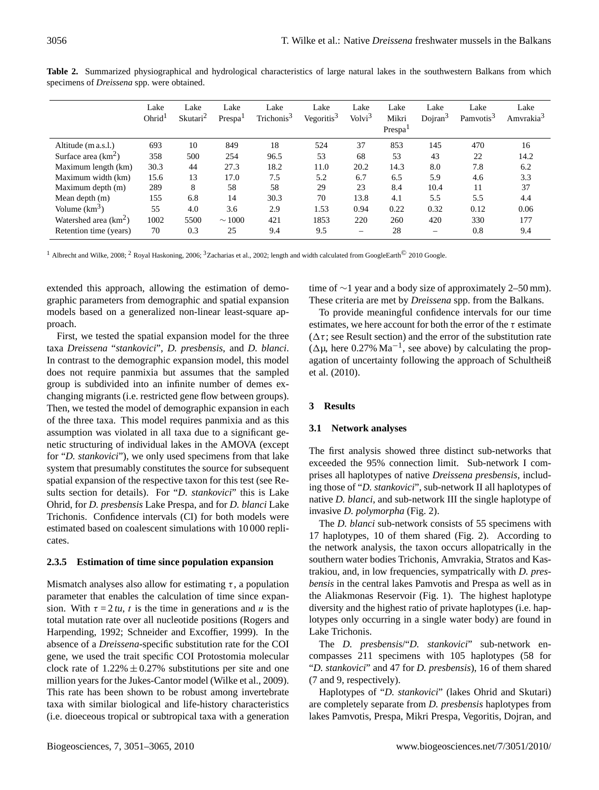|                         | Lake<br>Ohrid <sup>1</sup> | Lake<br>Skutari <sup>2</sup> | Lake<br>Prespa <sup>1</sup> | Lake<br>Trichonis <sup>3</sup> | Lake<br>Vegoritis $3$ | Lake<br>Volvi <sup>3</sup> | Lake<br>Mikri<br>Prespa <sup>1</sup> | Lake<br>Dojran <sup>3</sup> | Lake<br>Pamvotis <sup>3</sup> | Lake<br>Amvrakia <sup>3</sup> |
|-------------------------|----------------------------|------------------------------|-----------------------------|--------------------------------|-----------------------|----------------------------|--------------------------------------|-----------------------------|-------------------------------|-------------------------------|
| Altitude (m a.s.l.)     | 693                        | 10                           | 849                         | 18                             | 524                   | 37                         | 853                                  | 145                         | 470                           | 16                            |
| Surface area $(km^2)$   | 358                        | 500                          | 254                         | 96.5                           | 53                    | 68                         | 53                                   | 43                          | 22                            | 14.2                          |
| Maximum length (km)     | 30.3                       | 44                           | 27.3                        | 18.2                           | 11.0                  | 20.2                       | 14.3                                 | 8.0                         | 7.8                           | 6.2                           |
| Maximum width (km)      | 15.6                       | 13                           | 17.0                        | 7.5                            | 5.2                   | 6.7                        | 6.5                                  | 5.9                         | 4.6                           | 3.3                           |
| Maximum depth (m)       | 289                        | 8                            | 58                          | 58                             | 29                    | 23                         | 8.4                                  | 10.4                        | 11                            | 37                            |
| Mean depth $(m)$        | 155                        | 6.8                          | 14                          | 30.3                           | 70                    | 13.8                       | 4.1                                  | 5.5                         | 5.5                           | 4.4                           |
| Volume $(km^3)$         | 55                         | 4.0                          | 3.6                         | 2.9                            | 1.53                  | 0.94                       | 0.22                                 | 0.32                        | 0.12                          | 0.06                          |
| Watershed area $(km^2)$ | 1002                       | 5500                         | $\sim$ 1000                 | 421                            | 1853                  | 220                        | 260                                  | 420                         | 330                           | 177                           |
| Retention time (years)  | 70                         | 0.3                          | 25                          | 9.4                            | 9.5                   | $\overline{\phantom{a}}$   | 28                                   | -                           | 0.8                           | 9.4                           |

**Table 2.** Summarized physiographical and hydrological characteristics of large natural lakes in the southwestern Balkans from which specimens of *Dreissena* spp. were obtained.

<sup>1</sup> Albrecht and Wilke, 2008; <sup>2</sup> Royal Haskoning, 2006; <sup>3</sup>Zacharias et al., 2002; length and width calculated from GoogleEarth<sup>©</sup> 2010 Google.

extended this approach, allowing the estimation of demographic parameters from demographic and spatial expansion models based on a generalized non-linear least-square approach.

First, we tested the spatial expansion model for the three taxa *Dreissena* "*stankovici*", *D. presbensis*, and *D. blanci*. In contrast to the demographic expansion model, this model does not require panmixia but assumes that the sampled group is subdivided into an infinite number of demes exchanging migrants (i.e. restricted gene flow between groups). Then, we tested the model of demographic expansion in each of the three taxa. This model requires panmixia and as this assumption was violated in all taxa due to a significant genetic structuring of individual lakes in the AMOVA (except for "*D. stankovici*"), we only used specimens from that lake system that presumably constitutes the source for subsequent spatial expansion of the respective taxon for this test (see Results section for details). For "*D. stankovici*" this is Lake Ohrid, for *D. presbensis* Lake Prespa, and for *D. blanci* Lake Trichonis. Confidence intervals (CI) for both models were estimated based on coalescent simulations with 10 000 replicates.

# **2.3.5 Estimation of time since population expansion**

Mismatch analyses also allow for estimating  $\tau$ , a population parameter that enables the calculation of time since expansion. With  $\tau = 2tu$ , t is the time in generations and u is the total mutation rate over all nucleotide positions (Rogers and Harpending, 1992; Schneider and Excoffier, 1999). In the absence of a *Dreissena*-specific substitution rate for the COI gene, we used the trait specific COI Protostomia molecular clock rate of  $1.22\% \pm 0.27\%$  substitutions per site and one million years for the Jukes-Cantor model (Wilke et al., 2009). This rate has been shown to be robust among invertebrate taxa with similar biological and life-history characteristics (i.e. dioeceous tropical or subtropical taxa with a generation time of ∼1 year and a body size of approximately 2–50 mm). These criteria are met by *Dreissena* spp. from the Balkans.

To provide meaningful confidence intervals for our time estimates, we here account for both the error of the  $\tau$  estimate  $(\Delta \tau)$ ; see Result section) and the error of the substitution rate ( $Δμ$ , here 0.27% Ma<sup>-1</sup>, see above) by calculating the propagation of uncertainty following the approach of Schultheiß et al. (2010).

## **3 Results**

## **3.1 Network analyses**

The first analysis showed three distinct sub-networks that exceeded the 95% connection limit. Sub-network I comprises all haplotypes of native *Dreissena presbensis*, including those of "*D. stankovici*", sub-network II all haplotypes of native *D. blanci*, and sub-network III the single haplotype of invasive *D. polymorpha* (Fig. 2).

The *D. blanci* sub-network consists of 55 specimens with 17 haplotypes, 10 of them shared (Fig. 2). According to the network analysis, the taxon occurs allopatrically in the southern water bodies Trichonis, Amvrakia, Stratos and Kastrakiou, and, in low frequencies, sympatrically with *D. presbensis* in the central lakes Pamvotis and Prespa as well as in the Aliakmonas Reservoir (Fig. 1). The highest haplotype diversity and the highest ratio of private haplotypes (i.e. haplotypes only occurring in a single water body) are found in Lake Trichonis.

The *D. presbensis*/"*D. stankovici*" sub-network encompasses 211 specimens with 105 haplotypes (58 for "*D. stankovici*" and 47 for *D. presbensis*), 16 of them shared (7 and 9, respectively).

Haplotypes of "*D. stankovici*" (lakes Ohrid and Skutari) are completely separate from *D. presbensis* haplotypes from lakes Pamvotis, Prespa, Mikri Prespa, Vegoritis, Dojran, and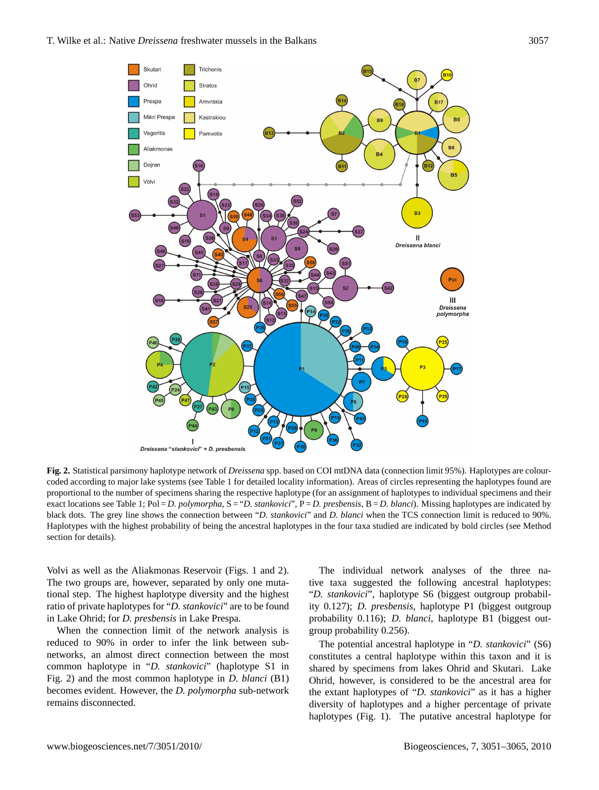

**Fig. 2.** Statistical parsimony haplotype network of *Dreissena* spp. based on COI mtDNA data (connection limit 95%). Haplotypes are colourcoded according to major lake systems (see Table 1 for detailed locality information). Areas of circles representing the haplotypes found are proportional to the number of specimens sharing the respective haplotype (for an assignment of haplotypes to individual specimens and their exact locations see Table 1; Pol = *D. polymorpha*, S = "*D. stankovici*", P = *D. presbensis*, B = *D. blanci*). Missing haplotypes are indicated by black dots. The grey line shows the connection between "*D. stankovici*" and *D. blanci* when the TCS connection limit is reduced to 90%. Haplotypes with the highest probability of being the ancestral haplotypes in the four taxa studied are indicated by bold circles (see Method section for details).

Volvi as well as the Aliakmonas Reservoir (Figs. 1 and 2). The two groups are, however, separated by only one mutational step. The highest haplotype diversity and the highest ratio of private haplotypes for "*D. stankovici*" are to be found in Lake Ohrid; for *D. presbensis* in Lake Prespa.

When the connection limit of the network analysis is reduced to 90% in order to infer the link between subnetworks, an almost direct connection between the most common haplotype in "*D. stankovici*" (haplotype S1 in Fig. 2) and the most common haplotype in *D. blanci* (B1) becomes evident. However, the *D. polymorpha* sub-network remains disconnected.

The individual network analyses of the three native taxa suggested the following ancestral haplotypes: "*D. stankovici*", haplotype S6 (biggest outgroup probability 0.127); *D. presbensis*, haplotype P1 (biggest outgroup probability 0.116); *D. blanci*, haplotype B1 (biggest outgroup probability 0.256).

The potential ancestral haplotype in "*D. stankovici*" (S6) constitutes a central haplotype within this taxon and it is shared by specimens from lakes Ohrid and Skutari. Lake Ohrid, however, is considered to be the ancestral area for the extant haplotypes of "*D. stankovici*" as it has a higher diversity of haplotypes and a higher percentage of private haplotypes (Fig. 1). The putative ancestral haplotype for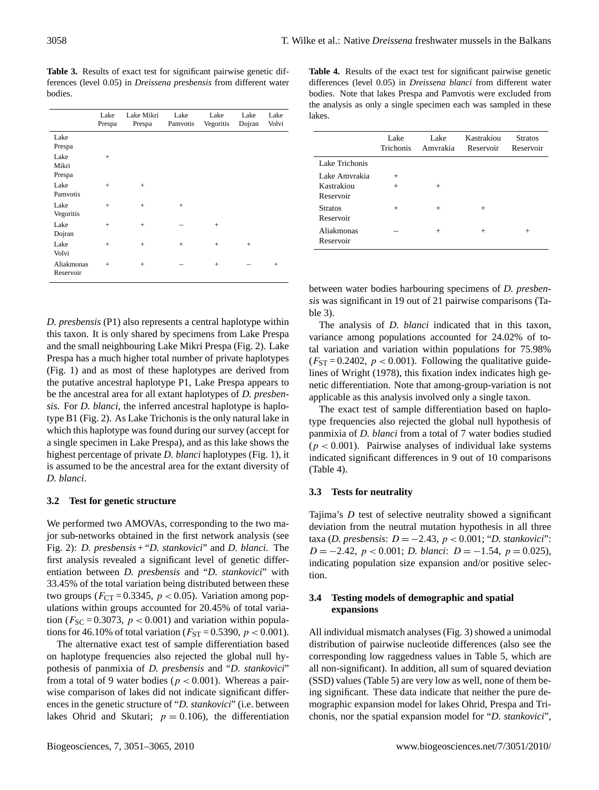| 1 D<br>٧<br>× | ı.<br>7<br>× |  |
|---------------|--------------|--|
|               |              |  |

**Table 3.** Results of exact test for significant pairwise genetic differences (level 0.05) in *Dreissena presbensis* from different water bodies.

|                         | Lake<br>Prespa | Lake Mikri<br>Prespa | Lake<br>Pamvotis | Lake<br>Vegoritis | Lake<br>Dojran | Lake<br>Volvi |
|-------------------------|----------------|----------------------|------------------|-------------------|----------------|---------------|
| Lake<br>Prespa          |                |                      |                  |                   |                |               |
| Lake<br>Mikri<br>Prespa | $+$            |                      |                  |                   |                |               |
| Lake<br>Pamvotis        | $^{+}$         | $^{+}$               |                  |                   |                |               |
| Lake<br>Vegoritis       | $^{+}$         | $^{+}$               | $^{+}$           |                   |                |               |
| Lake<br>Dojran          | $^{+}$         | $^{+}$               |                  | $^{+}$            |                |               |
| Lake<br>Volvi           | $^{+}$         | $^{+}$               | $+$              | $^{+}$            | $+$            |               |
| Aliakmonas<br>Reservoir | $\ddot{}$      | $^{+}$               |                  | $^{+}$            |                | $^{+}$        |

*D. presbensis* (P1) also represents a central haplotype within this taxon. It is only shared by specimens from Lake Prespa and the small neighbouring Lake Mikri Prespa (Fig. 2). Lake Prespa has a much higher total number of private haplotypes (Fig. 1) and as most of these haplotypes are derived from the putative ancestral haplotype P1, Lake Prespa appears to be the ancestral area for all extant haplotypes of *D. presbensis*. For *D. blanci*, the inferred ancestral haplotype is haplotype B1 (Fig. 2). As Lake Trichonis is the only natural lake in which this haplotype was found during our survey (accept for a single specimen in Lake Prespa), and as this lake shows the highest percentage of private *D. blanci* haplotypes (Fig. 1), it is assumed to be the ancestral area for the extant diversity of *D. blanci*.

#### **3.2 Test for genetic structure**

We performed two AMOVAs, corresponding to the two major sub-networks obtained in the first network analysis (see Fig. 2): *D. presbensis* + "*D. stankovici*" and *D. blanci*. The first analysis revealed a significant level of genetic differentiation between *D. presbensis* and "*D. stankovici*" with 33.45% of the total variation being distributed between these two groups ( $F_{CT} = 0.3345$ ,  $p < 0.05$ ). Variation among populations within groups accounted for 20.45% of total variation ( $F_{SC} = 0.3073$ ,  $p < 0.001$ ) and variation within populations for 46.10% of total variation ( $F_{ST} = 0.5390, p < 0.001$ ).

The alternative exact test of sample differentiation based on haplotype frequencies also rejected the global null hypothesis of panmixia of *D. presbensis* and "*D. stankovici*" from a total of 9 water bodies ( $p < 0.001$ ). Whereas a pairwise comparison of lakes did not indicate significant differences in the genetic structure of "*D. stankovici*" (i.e. between lakes Ohrid and Skutari;  $p = 0.106$ , the differentiation

**Table 4.** Results of the exact test for significant pairwise genetic differences (level 0.05) in *Dreissena blanci* from different water bodies. Note that lakes Prespa and Pamvotis were excluded from the analysis as only a single specimen each was sampled in these lakes.

|                                          | Lake<br>Trichonis | Lake<br>Amvrakia | Kastrakiou<br>Reservoir | <b>Stratos</b><br>Reservoir |
|------------------------------------------|-------------------|------------------|-------------------------|-----------------------------|
| Lake Trichonis                           |                   |                  |                         |                             |
| Lake Amvrakia<br>Kastrakiou<br>Reservoir | $^{+}$<br>$^{+}$  | $^{+}$           |                         |                             |
| <b>Stratos</b><br>Reservoir              | $^{+}$            | $^{+}$           | $^{+}$                  |                             |
| Aliakmonas<br>Reservoir                  |                   | $^{+}$           | $^{+}$                  | $^{+}$                      |

between water bodies harbouring specimens of *D. presbensis* was significant in 19 out of 21 pairwise comparisons (Table 3).

The analysis of *D. blanci* indicated that in this taxon, variance among populations accounted for 24.02% of total variation and variation within populations for 75.98%  $(F_{ST} = 0.2402, p < 0.001)$ . Following the qualitative guidelines of Wright (1978), this fixation index indicates high genetic differentiation. Note that among-group-variation is not applicable as this analysis involved only a single taxon.

The exact test of sample differentiation based on haplotype frequencies also rejected the global null hypothesis of panmixia of *D. blanci* from a total of 7 water bodies studied  $(p < 0.001)$ . Pairwise analyses of individual lake systems indicated significant differences in 9 out of 10 comparisons (Table 4).

## **3.3 Tests for neutrality**

Tajima's D test of selective neutrality showed a significant deviation from the neutral mutation hypothesis in all three taxa (*D. presbensis*: D = −2.43, p < 0.001; "*D. stankovici*":  $D = -2.42$ ,  $p < 0.001$ ; *D. blanci*:  $D = -1.54$ ,  $p = 0.025$ ), indicating population size expansion and/or positive selection.

# **3.4 Testing models of demographic and spatial expansions**

All individual mismatch analyses (Fig. 3) showed a unimodal distribution of pairwise nucleotide differences (also see the corresponding low raggedness values in Table 5, which are all non-significant). In addition, all sum of squared deviation (SSD) values (Table 5) are very low as well, none of them being significant. These data indicate that neither the pure demographic expansion model for lakes Ohrid, Prespa and Trichonis, nor the spatial expansion model for "*D. stankovici*",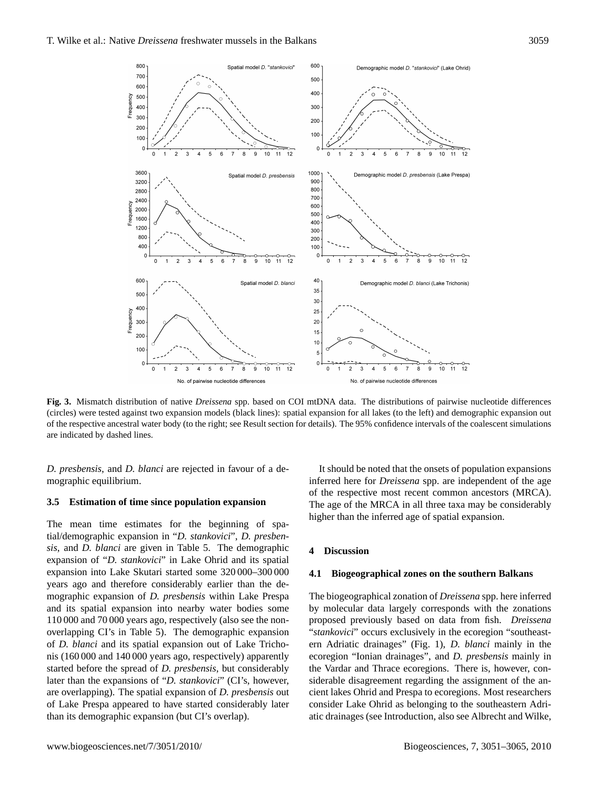

**Fig. 3.** Mismatch distribution of native *Dreissena* spp. based on COI mtDNA data. The distributions of pairwise nucleotide differences (circles) were tested against two expansion models (black lines): spatial expansion for all lakes (to the left) and demographic expansion out of the respective ancestral water body (to the right; see Result section for details). The 95% confidence intervals of the coalescent simulations are indicated by dashed lines.

*D. presbensis*, and *D. blanci* are rejected in favour of a demographic equilibrium.

#### **3.5 Estimation of time since population expansion**

The mean time estimates for the beginning of spatial/demographic expansion in "*D. stankovici*", *D. presbensis*, and *D. blanci* are given in Table 5. The demographic expansion of "*D. stankovici*" in Lake Ohrid and its spatial expansion into Lake Skutari started some 320 000–300 000 years ago and therefore considerably earlier than the demographic expansion of *D. presbensis* within Lake Prespa and its spatial expansion into nearby water bodies some 110 000 and 70 000 years ago, respectively (also see the nonoverlapping CI's in Table 5). The demographic expansion of *D. blanci* and its spatial expansion out of Lake Trichonis (160 000 and 140 000 years ago, respectively) apparently started before the spread of *D. presbensis*, but considerably later than the expansions of "*D. stankovici*" (CI's, however, are overlapping). The spatial expansion of *D. presbensis* out of Lake Prespa appeared to have started considerably later than its demographic expansion (but CI's overlap).

It should be noted that the onsets of population expansions inferred here for *Dreissena* spp. are independent of the age of the respective most recent common ancestors (MRCA). The age of the MRCA in all three taxa may be considerably higher than the inferred age of spatial expansion.

#### **4 Discussion**

#### **4.1 Biogeographical zones on the southern Balkans**

The biogeographical zonation of *Dreissena* spp. here inferred by molecular data largely corresponds with the zonations proposed previously based on data from fish. *Dreissena* "*stankovici*" occurs exclusively in the ecoregion "southeastern Adriatic drainages" (Fig. 1), *D. blanci* mainly in the ecoregion "Ionian drainages", and *D. presbensis* mainly in the Vardar and Thrace ecoregions. There is, however, considerable disagreement regarding the assignment of the ancient lakes Ohrid and Prespa to ecoregions. Most researchers consider Lake Ohrid as belonging to the southeastern Adriatic drainages (see Introduction, also see Albrecht and Wilke,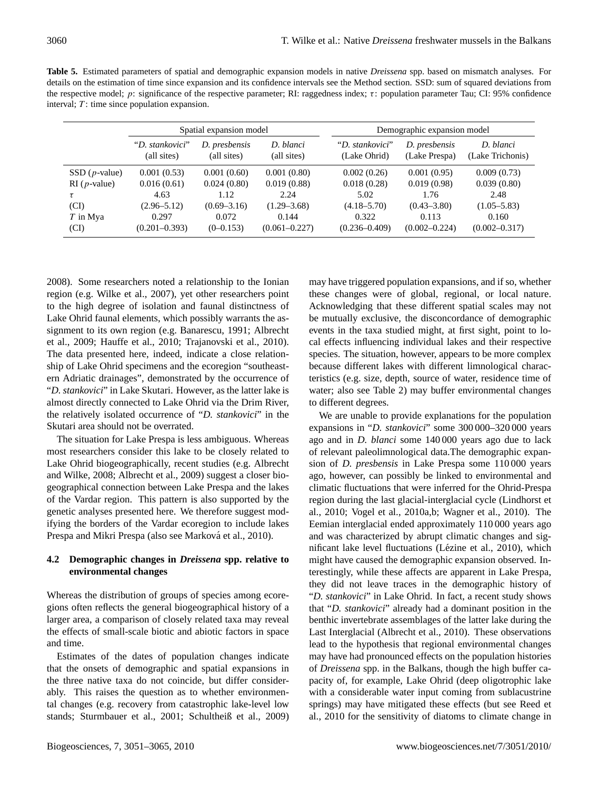**Table 5.** Estimated parameters of spatial and demographic expansion models in native *Dreissena* spp. based on mismatch analyses. For details on the estimation of time since expansion and its confidence intervals see the Method section. SSD: sum of squared deviations from the respective model; *p*: significance of the respective parameter; RI: raggedness index; τ: population parameter Tau; CI: 95% confidence interval;  $T$ : time since population expansion.

|                |                                | Spatial expansion model      |                          | Demographic expansion model     |                                |                               |  |
|----------------|--------------------------------|------------------------------|--------------------------|---------------------------------|--------------------------------|-------------------------------|--|
|                | "D. stankovici"<br>(all sites) | D. presbensis<br>(all sites) | D. blanci<br>(all sites) | "D. stankovici"<br>(Lake Ohrid) | D. presbensis<br>(Lake Prespa) | D. blanci<br>(Lake Trichonis) |  |
| $SSD(p-value)$ | 0.001(0.53)                    | 0.001(0.60)                  | 0.001(0.80)              | 0.002(0.26)                     | 0.001(0.95)                    | 0.009(0.73)                   |  |
| $RI(p-value)$  | 0.016(0.61)                    | 0.024(0.80)                  | 0.019(0.88)              | 0.018(0.28)                     | 0.019(0.98)                    | 0.039(0.80)                   |  |
| τ              | 4.63                           | 1.12                         | 2.24                     | 5.02                            | 1.76                           | 2.48                          |  |
| (CI)           | $(2.96 - 5.12)$                | $(0.69 - 3.16)$              | $(1.29 - 3.68)$          | $(4.18 - 5.70)$                 | $(0.43 - 3.80)$                | $(1.05 - 5.83)$               |  |
| $T$ in Mya     | 0.297                          | 0.072                        | 0.144                    | 0.322                           | 0.113                          | 0.160                         |  |
| (CI)           | $(0.201 - 0.393)$              | $(0-0.153)$                  | $(0.061 - 0.227)$        | $(0.236 - 0.409)$               | $(0.002 - 0.224)$              | $(0.002 - 0.317)$             |  |

2008). Some researchers noted a relationship to the Ionian region (e.g. Wilke et al., 2007), yet other researchers point to the high degree of isolation and faunal distinctness of Lake Ohrid faunal elements, which possibly warrants the assignment to its own region (e.g. Banarescu, 1991; Albrecht et al., 2009; Hauffe et al., 2010; Trajanovski et al., 2010). The data presented here, indeed, indicate a close relationship of Lake Ohrid specimens and the ecoregion "southeastern Adriatic drainages", demonstrated by the occurrence of "*D. stankovici*" in Lake Skutari. However, as the latter lake is almost directly connected to Lake Ohrid via the Drim River, the relatively isolated occurrence of "*D. stankovici*" in the Skutari area should not be overrated.

The situation for Lake Prespa is less ambiguous. Whereas most researchers consider this lake to be closely related to Lake Ohrid biogeographically, recent studies (e.g. Albrecht and Wilke, 2008; Albrecht et al., 2009) suggest a closer biogeographical connection between Lake Prespa and the lakes of the Vardar region. This pattern is also supported by the genetic analyses presented here. We therefore suggest modifying the borders of the Vardar ecoregion to include lakes Prespa and Mikri Prespa (also see Marková et al., 2010).

# **4.2 Demographic changes in** *Dreissena* **spp. relative to environmental changes**

Whereas the distribution of groups of species among ecoregions often reflects the general biogeographical history of a larger area, a comparison of closely related taxa may reveal the effects of small-scale biotic and abiotic factors in space and time.

Estimates of the dates of population changes indicate that the onsets of demographic and spatial expansions in the three native taxa do not coincide, but differ considerably. This raises the question as to whether environmental changes (e.g. recovery from catastrophic lake-level low stands; Sturmbauer et al., 2001; Schultheiß et al., 2009) may have triggered population expansions, and if so, whether these changes were of global, regional, or local nature. Acknowledging that these different spatial scales may not be mutually exclusive, the disconcordance of demographic events in the taxa studied might, at first sight, point to local effects influencing individual lakes and their respective species. The situation, however, appears to be more complex because different lakes with different limnological characteristics (e.g. size, depth, source of water, residence time of water; also see Table 2) may buffer environmental changes to different degrees.

We are unable to provide explanations for the population expansions in "*D. stankovici*" some 300 000–320 000 years ago and in *D. blanci* some 140 000 years ago due to lack of relevant paleolimnological data.The demographic expansion of *D. presbensis* in Lake Prespa some 110 000 years ago, however, can possibly be linked to environmental and climatic fluctuations that were inferred for the Ohrid-Prespa region during the last glacial-interglacial cycle (Lindhorst et al., 2010; Vogel et al., 2010a,b; Wagner et al., 2010). The Eemian interglacial ended approximately 110 000 years ago and was characterized by abrupt climatic changes and significant lake level fluctuations (Lézine et al., 2010), which might have caused the demographic expansion observed. Interestingly, while these affects are apparent in Lake Prespa, they did not leave traces in the demographic history of "*D. stankovici*" in Lake Ohrid. In fact, a recent study shows that "*D. stankovici*" already had a dominant position in the benthic invertebrate assemblages of the latter lake during the Last Interglacial (Albrecht et al., 2010). These observations lead to the hypothesis that regional environmental changes may have had pronounced effects on the population histories of *Dreissena* spp. in the Balkans, though the high buffer capacity of, for example, Lake Ohrid (deep oligotrophic lake with a considerable water input coming from sublacustrine springs) may have mitigated these effects (but see Reed et al., 2010 for the sensitivity of diatoms to climate change in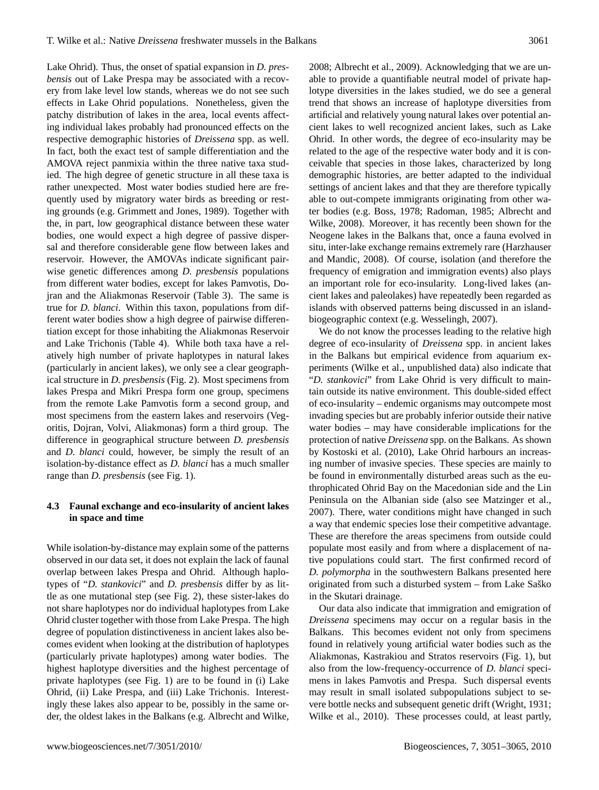Lake Ohrid). Thus, the onset of spatial expansion in *D. presbensis* out of Lake Prespa may be associated with a recovery from lake level low stands, whereas we do not see such effects in Lake Ohrid populations. Nonetheless, given the patchy distribution of lakes in the area, local events affecting individual lakes probably had pronounced effects on the respective demographic histories of *Dreissena* spp. as well. In fact, both the exact test of sample differentiation and the AMOVA reject panmixia within the three native taxa studied. The high degree of genetic structure in all these taxa is rather unexpected. Most water bodies studied here are frequently used by migratory water birds as breeding or resting grounds (e.g. Grimmett and Jones, 1989). Together with the, in part, low geographical distance between these water bodies, one would expect a high degree of passive dispersal and therefore considerable gene flow between lakes and reservoir. However, the AMOVAs indicate significant pairwise genetic differences among *D. presbensis* populations from different water bodies, except for lakes Pamvotis, Dojran and the Aliakmonas Reservoir (Table 3). The same is true for *D. blanci*. Within this taxon, populations from different water bodies show a high degree of pairwise differentiation except for those inhabiting the Aliakmonas Reservoir and Lake Trichonis (Table 4). While both taxa have a relatively high number of private haplotypes in natural lakes (particularly in ancient lakes), we only see a clear geographical structure in *D. presbensis* (Fig. 2). Most specimens from lakes Prespa and Mikri Prespa form one group, specimens from the remote Lake Pamvotis form a second group, and most specimens from the eastern lakes and reservoirs (Vegoritis, Dojran, Volvi, Aliakmonas) form a third group. The difference in geographical structure between *D. presbensis* and *D. blanci* could, however, be simply the result of an isolation-by-distance effect as *D. blanci* has a much smaller range than *D. presbensis* (see Fig. 1).

# **4.3 Faunal exchange and eco-insularity of ancient lakes in space and time**

While isolation-by-distance may explain some of the patterns observed in our data set, it does not explain the lack of faunal overlap between lakes Prespa and Ohrid. Although haplotypes of "*D. stankovici*" and *D. presbensis* differ by as little as one mutational step (see Fig. 2), these sister-lakes do not share haplotypes nor do individual haplotypes from Lake Ohrid cluster together with those from Lake Prespa. The high degree of population distinctiveness in ancient lakes also becomes evident when looking at the distribution of haplotypes (particularly private haplotypes) among water bodies. The highest haplotype diversities and the highest percentage of private haplotypes (see Fig. 1) are to be found in (i) Lake Ohrid, (ii) Lake Prespa, and (iii) Lake Trichonis. Interestingly these lakes also appear to be, possibly in the same order, the oldest lakes in the Balkans (e.g. Albrecht and Wilke, 2008; Albrecht et al., 2009). Acknowledging that we are unable to provide a quantifiable neutral model of private haplotype diversities in the lakes studied, we do see a general trend that shows an increase of haplotype diversities from artificial and relatively young natural lakes over potential ancient lakes to well recognized ancient lakes, such as Lake Ohrid. In other words, the degree of eco-insularity may be related to the age of the respective water body and it is conceivable that species in those lakes, characterized by long demographic histories, are better adapted to the individual settings of ancient lakes and that they are therefore typically able to out-compete immigrants originating from other water bodies (e.g. Boss, 1978; Radoman, 1985; Albrecht and Wilke, 2008). Moreover, it has recently been shown for the Neogene lakes in the Balkans that, once a fauna evolved in situ, inter-lake exchange remains extremely rare (Harzhauser and Mandic, 2008). Of course, isolation (and therefore the frequency of emigration and immigration events) also plays an important role for eco-insularity. Long-lived lakes (ancient lakes and paleolakes) have repeatedly been regarded as islands with observed patterns being discussed in an islandbiogeographic context (e.g. Wesselingh, 2007).

We do not know the processes leading to the relative high degree of eco-insularity of *Dreissena* spp. in ancient lakes in the Balkans but empirical evidence from aquarium experiments (Wilke et al., unpublished data) also indicate that "*D. stankovici*" from Lake Ohrid is very difficult to maintain outside its native environment. This double-sided effect of eco-insularity – endemic organisms may outcompete most invading species but are probably inferior outside their native water bodies – may have considerable implications for the protection of native *Dreissena* spp. on the Balkans. As shown by Kostoski et al. (2010), Lake Ohrid harbours an increasing number of invasive species. These species are mainly to be found in environmentally disturbed areas such as the euthrophicated Ohrid Bay on the Macedonian side and the Lin Peninsula on the Albanian side (also see Matzinger et al., 2007). There, water conditions might have changed in such a way that endemic species lose their competitive advantage. These are therefore the areas specimens from outside could populate most easily and from where a displacement of native populations could start. The first confirmed record of *D. polymorpha* in the southwestern Balkans presented here originated from such a disturbed system – from Lake Saško in the Skutari drainage.

Our data also indicate that immigration and emigration of *Dreissena* specimens may occur on a regular basis in the Balkans. This becomes evident not only from specimens found in relatively young artificial water bodies such as the Aliakmonas, Kastrakiou and Stratos reservoirs (Fig. 1), but also from the low-frequency-occurrence of *D. blanci* specimens in lakes Pamvotis and Prespa. Such dispersal events may result in small isolated subpopulations subject to severe bottle necks and subsequent genetic drift (Wright, 1931; Wilke et al., 2010). These processes could, at least partly,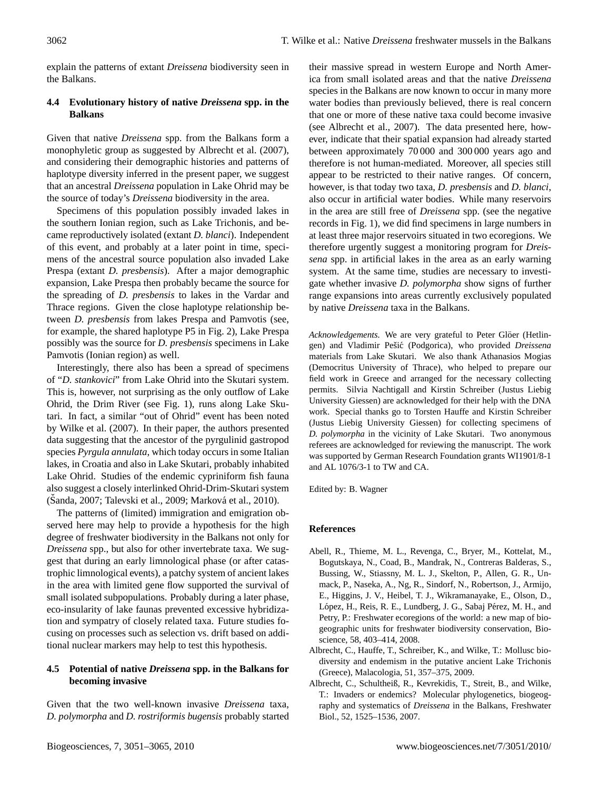explain the patterns of extant *Dreissena* biodiversity seen in the Balkans.

# **4.4 Evolutionary history of native** *Dreissena* **spp. in the Balkans**

Given that native *Dreissena* spp. from the Balkans form a monophyletic group as suggested by Albrecht et al. (2007), and considering their demographic histories and patterns of haplotype diversity inferred in the present paper, we suggest that an ancestral *Dreissena* population in Lake Ohrid may be the source of today's *Dreissena* biodiversity in the area.

Specimens of this population possibly invaded lakes in the southern Ionian region, such as Lake Trichonis, and became reproductively isolated (extant *D. blanci*). Independent of this event, and probably at a later point in time, specimens of the ancestral source population also invaded Lake Prespa (extant *D. presbensis*). After a major demographic expansion, Lake Prespa then probably became the source for the spreading of *D. presbensis* to lakes in the Vardar and Thrace regions. Given the close haplotype relationship between *D. presbensis* from lakes Prespa and Pamvotis (see, for example, the shared haplotype P5 in Fig. 2), Lake Prespa possibly was the source for *D. presbensis* specimens in Lake Pamvotis (Ionian region) as well.

Interestingly, there also has been a spread of specimens of "*D. stankovici*" from Lake Ohrid into the Skutari system. This is, however, not surprising as the only outflow of Lake Ohrid, the Drim River (see Fig. 1), runs along Lake Skutari. In fact, a similar "out of Ohrid" event has been noted by Wilke et al. (2007). In their paper, the authors presented data suggesting that the ancestor of the pyrgulinid gastropod species *Pyrgula annulata*, which today occurs in some Italian lakes, in Croatia and also in Lake Skutari, probably inhabited Lake Ohrid. Studies of the endemic cypriniform fish fauna also suggest a closely interlinked Ohrid-Drim-Skutari system (Šanda, 2007; Talevski et al., 2009; Marková et al., 2010).

The patterns of (limited) immigration and emigration observed here may help to provide a hypothesis for the high degree of freshwater biodiversity in the Balkans not only for *Dreissena* spp., but also for other invertebrate taxa. We suggest that during an early limnological phase (or after catastrophic limnological events), a patchy system of ancient lakes in the area with limited gene flow supported the survival of small isolated subpopulations. Probably during a later phase, eco-insularity of lake faunas prevented excessive hybridization and sympatry of closely related taxa. Future studies focusing on processes such as selection vs. drift based on additional nuclear markers may help to test this hypothesis.

# **4.5 Potential of native** *Dreissena* **spp. in the Balkans for becoming invasive**

Given that the two well-known invasive *Dreissena* taxa, *D. polymorpha* and *D. rostriformis bugensis* probably started

their massive spread in western Europe and North America from small isolated areas and that the native *Dreissena* species in the Balkans are now known to occur in many more water bodies than previously believed, there is real concern that one or more of these native taxa could become invasive (see Albrecht et al., 2007). The data presented here, however, indicate that their spatial expansion had already started between approximately 70 000 and 300 000 years ago and therefore is not human-mediated. Moreover, all species still appear to be restricted to their native ranges. Of concern, however, is that today two taxa, *D. presbensis* and *D. blanci*, also occur in artificial water bodies. While many reservoirs in the area are still free of *Dreissena* spp. (see the negative records in Fig. 1), we did find specimens in large numbers in at least three major reservoirs situated in two ecoregions. We therefore urgently suggest a monitoring program for *Dreissena* spp. in artificial lakes in the area as an early warning system. At the same time, studies are necessary to investigate whether invasive *D. polymorpha* show signs of further range expansions into areas currently exclusively populated by native *Dreissena* taxa in the Balkans.

*Acknowledgements.* We are very grateful to Peter Glöer (Hetlingen) and Vladimir Pešić (Podgorica), who provided *Dreissena* materials from Lake Skutari. We also thank Athanasios Mogias (Democritus University of Thrace), who helped to prepare our field work in Greece and arranged for the necessary collecting permits. Silvia Nachtigall and Kirstin Schreiber (Justus Liebig University Giessen) are acknowledged for their help with the DNA work. Special thanks go to Torsten Hauffe and Kirstin Schreiber (Justus Liebig University Giessen) for collecting specimens of *D. polymorpha* in the vicinity of Lake Skutari. Two anonymous referees are acknowledged for reviewing the manuscript. The work was supported by German Research Foundation grants WI1901/8-1 and AL 1076/3-1 to TW and CA.

Edited by: B. Wagner

#### **References**

- Abell, R., Thieme, M. L., Revenga, C., Bryer, M., Kottelat, M., Bogutskaya, N., Coad, B., Mandrak, N., Contreras Balderas, S., Bussing, W., Stiassny, M. L. J., Skelton, P., Allen, G. R., Unmack, P., Naseka, A., Ng, R., Sindorf, N., Robertson, J., Armijo, E., Higgins, J. V., Heibel, T. J., Wikramanayake, E., Olson, D., López, H., Reis, R. E., Lundberg, J. G., Sabaj Pérez, M. H., and Petry, P.: Freshwater ecoregions of the world: a new map of biogeographic units for freshwater biodiversity conservation, Bioscience, 58, 403–414, 2008.
- Albrecht, C., Hauffe, T., Schreiber, K., and Wilke, T.: Mollusc biodiversity and endemism in the putative ancient Lake Trichonis (Greece), Malacologia, 51, 357–375, 2009.
- Albrecht, C., Schultheiß, R., Kevrekidis, T., Streit, B., and Wilke, T.: Invaders or endemics? Molecular phylogenetics, biogeography and systematics of *Dreissena* in the Balkans, Freshwater Biol., 52, 1525–1536, 2007.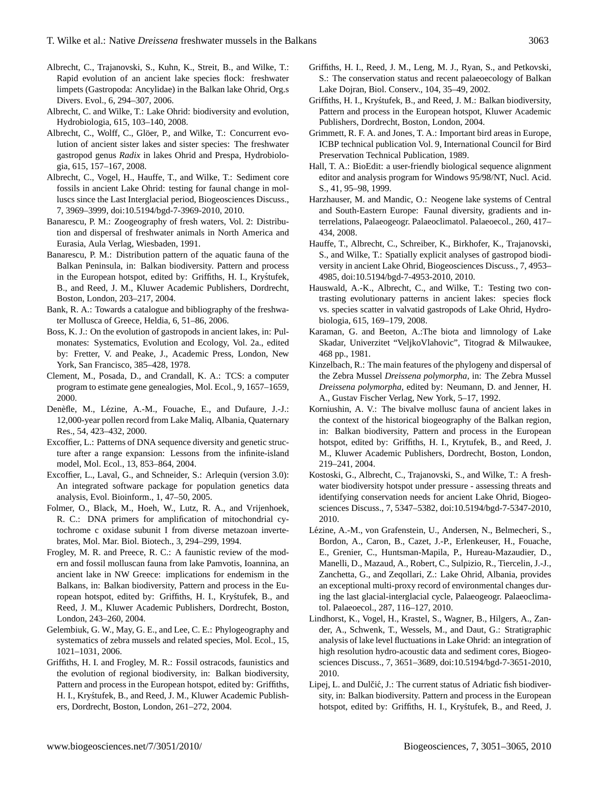- Albrecht, C., Trajanovski, S., Kuhn, K., Streit, B., and Wilke, T.: Rapid evolution of an ancient lake species flock: freshwater limpets (Gastropoda: Ancylidae) in the Balkan lake Ohrid, Org.s Divers. Evol., 6, 294–307, 2006.
- Albrecht, C. and Wilke, T.: Lake Ohrid: biodiversity and evolution, Hydrobiologia, 615, 103–140, 2008.
- Albrecht, C., Wolff, C., Glöer, P., and Wilke, T.: Concurrent evolution of ancient sister lakes and sister species: The freshwater gastropod genus *Radix* in lakes Ohrid and Prespa, Hydrobiologia, 615, 157–167, 2008.
- Albrecht, C., Vogel, H., Hauffe, T., and Wilke, T.: Sediment core fossils in ancient Lake Ohrid: testing for faunal change in molluscs since the Last Interglacial period, Biogeosciences Discuss., 7, 3969–3999, doi:10.5194/bgd-7-3969-2010, 2010.
- Banarescu, P. M.: Zoogeography of fresh waters, Vol. 2: Distribution and dispersal of freshwater animals in North America and Eurasia, Aula Verlag, Wiesbaden, 1991.
- Banarescu, P. M.: Distribution pattern of the aquatic fauna of the Balkan Peninsula, in: Balkan biodiversity. Pattern and process in the European hotspot, edited by: Griffiths, H. I., Krystufek, ´ B., and Reed, J. M., Kluwer Academic Publishers, Dordrecht, Boston, London, 203–217, 2004.
- Bank, R. A.: Towards a catalogue and bibliography of the freshwater Mollusca of Greece, Heldia, 6, 51–86, 2006.
- Boss, K. J.: On the evolution of gastropods in ancient lakes, in: Pulmonates: Systematics, Evolution and Ecology, Vol. 2a., edited by: Fretter, V. and Peake, J., Academic Press, London, New York, San Francisco, 385–428, 1978.
- Clement, M., Posada, D., and Crandall, K. A.: TCS: a computer program to estimate gene genealogies, Mol. Ecol., 9, 1657–1659, 2000.
- Denèfle, M., Lézine, A.-M., Fouache, E., and Dufaure, J.-J.: 12,000-year pollen record from Lake Maliq, Albania, Quaternary Res., 54, 423–432, 2000.
- Excoffier, L.: Patterns of DNA sequence diversity and genetic structure after a range expansion: Lessons from the infinite-island model, Mol. Ecol., 13, 853–864, 2004.
- Excoffier, L., Laval, G., and Schneider, S.: Arlequin (version 3.0): An integrated software package for population genetics data analysis, Evol. Bioinform., 1, 47–50, 2005.
- Folmer, O., Black, M., Hoeh, W., Lutz, R. A., and Vrijenhoek, R. C.: DNA primers for amplification of mitochondrial cytochrome c oxidase subunit I from diverse metazoan invertebrates, Mol. Mar. Biol. Biotech., 3, 294–299, 1994.
- Frogley, M. R. and Preece, R. C.: A faunistic review of the modern and fossil molluscan fauna from lake Pamvotis, Ioannina, an ancient lake in NW Greece: implications for endemism in the Balkans, in: Balkan biodiversity, Pattern and process in the European hotspot, edited by: Griffiths, H. I., Krystufek, B., and ´ Reed, J. M., Kluwer Academic Publishers, Dordrecht, Boston, London, 243–260, 2004.
- Gelembiuk, G. W., May, G. E., and Lee, C. E.: Phylogeography and systematics of zebra mussels and related species, Mol. Ecol., 15, 1021–1031, 2006.
- Griffiths, H. I. and Frogley, M. R.: Fossil ostracods, faunistics and the evolution of regional biodiversity, in: Balkan biodiversity, Pattern and process in the European hotspot, edited by: Griffiths, H. I., Krystufek, B., and Reed, J. M., Kluwer Academic Publish- ´ ers, Dordrecht, Boston, London, 261–272, 2004.
- Griffiths, H. I., Reed, J. M., Leng, M. J., Ryan, S., and Petkovski, S.: The conservation status and recent palaeoecology of Balkan Lake Dojran, Biol. Conserv., 104, 35–49, 2002.
- Griffiths, H. I., Kryśtufek, B., and Reed, J. M.: Balkan biodiversity, Pattern and process in the European hotspot, Kluwer Academic Publishers, Dordrecht, Boston, London, 2004.
- Grimmett, R. F. A. and Jones, T. A.: Important bird areas in Europe, ICBP technical publication Vol. 9, International Council for Bird Preservation Technical Publication, 1989.
- Hall, T. A.: BioEdit: a user-friendly biological sequence alignment editor and analysis program for Windows 95/98/NT, Nucl. Acid. S., 41, 95–98, 1999.
- Harzhauser, M. and Mandic, O.: Neogene lake systems of Central and South-Eastern Europe: Faunal diversity, gradients and interrelations, Palaeogeogr. Palaeoclimatol. Palaeoecol., 260, 417– 434, 2008.
- Hauffe, T., Albrecht, C., Schreiber, K., Birkhofer, K., Trajanovski, S., and Wilke, T.: Spatially explicit analyses of gastropod biodiversity in ancient Lake Ohrid, Biogeosciences Discuss., 7, 4953– 4985, doi:10.5194/bgd-7-4953-2010, 2010.
- Hauswald, A.-K., Albrecht, C., and Wilke, T.: Testing two contrasting evolutionary patterns in ancient lakes: species flock vs. species scatter in valvatid gastropods of Lake Ohrid, Hydrobiologia, 615, 169–179, 2008.
- Karaman, G. and Beeton, A.:The biota and limnology of Lake Skadar, Univerzitet "VeljkoVlahovic", Titograd & Milwaukee, 468 pp., 1981.
- Kinzelbach, R.: The main features of the phylogeny and dispersal of the Zebra Mussel *Dreissena polymorpha*, in: The Zebra Mussel *Dreissena polymorpha*, edited by: Neumann, D. and Jenner, H. A., Gustav Fischer Verlag, New York, 5–17, 1992.
- Korniushin, A. V.: The bivalve mollusc fauna of ancient lakes in the context of the historical biogeography of the Balkan region, in: Balkan biodiversity, Pattern and process in the European hotspot, edited by: Griffiths, H. I., Krytufek, B., and Reed, J. M., Kluwer Academic Publishers, Dordrecht, Boston, London, 219–241, 2004.
- Kostoski, G., Albrecht, C., Trajanovski, S., and Wilke, T.: A freshwater biodiversity hotspot under pressure - assessing threats and identifying conservation needs for ancient Lake Ohrid, Biogeosciences Discuss., 7, 5347–5382, doi:10.5194/bgd-7-5347-2010, 2010.
- Lézine, A.-M., von Grafenstein, U., Andersen, N., Belmecheri, S., Bordon, A., Caron, B., Cazet, J.-P., Erlenkeuser, H., Fouache, E., Grenier, C., Huntsman-Mapila, P., Hureau-Mazaudier, D., Manelli, D., Mazaud, A., Robert, C., Sulpizio, R., Tiercelin, J.-J., Zanchetta, G., and Zeqollari, Z.: Lake Ohrid, Albania, provides an exceptional multi-proxy record of environmental changes during the last glacial-interglacial cycle, Palaeogeogr. Palaeoclimatol. Palaeoecol., 287, 116–127, 2010.
- Lindhorst, K., Vogel, H., Krastel, S., Wagner, B., Hilgers, A., Zander, A., Schwenk, T., Wessels, M., and Daut, G.: Stratigraphic analysis of lake level fluctuations in Lake Ohrid: an integration of high resolution hydro-acoustic data and sediment cores, Biogeosciences Discuss., 7, 3651–3689, doi:10.5194/bgd-7-3651-2010, 2010.
- Lipej, L. and Dulčić, J.: The current status of Adriatic fish biodiversity, in: Balkan biodiversity. Pattern and process in the European hotspot, edited by: Griffiths, H. I., Kryśtufek, B., and Reed, J.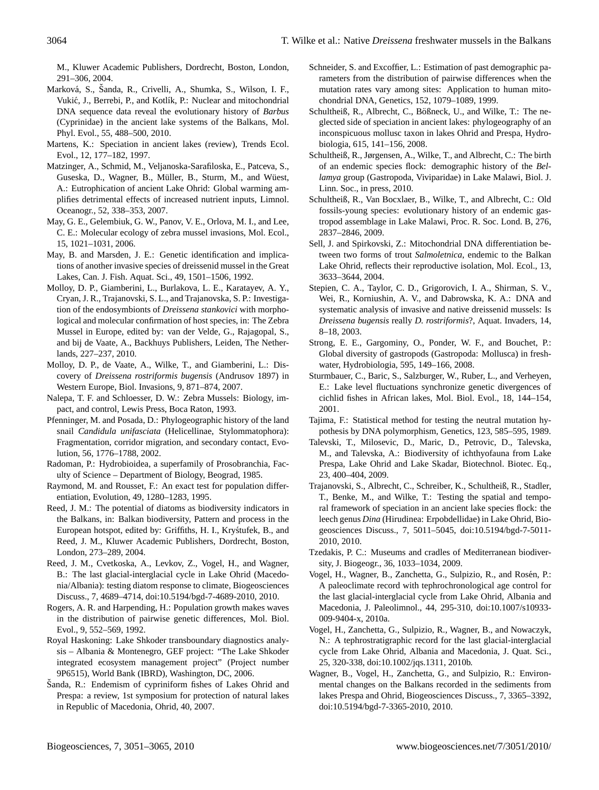M., Kluwer Academic Publishers, Dordrecht, Boston, London, 291–306, 2004.

- Marková, S., Šanda, R., Crivelli, A., Shumka, S., Wilson, I. F., Vukić, J., Berrebi, P., and Kotlík, P.: Nuclear and mitochondrial DNA sequence data reveal the evolutionary history of *Barbus* (Cyprinidae) in the ancient lake systems of the Balkans, Mol. Phyl. Evol., 55, 488–500, 2010.
- Martens, K.: Speciation in ancient lakes (review), Trends Ecol. Evol., 12, 177–182, 1997.
- Matzinger, A., Schmid, M., Veljanoska-Sarafiloska, E., Patceva, S., Guseska, D., Wagner, B., Müller, B., Sturm, M., and Wüest, A.: Eutrophication of ancient Lake Ohrid: Global warming amplifies detrimental effects of increased nutrient inputs, Limnol. Oceanogr., 52, 338–353, 2007.
- May, G. E., Gelembiuk, G. W., Panov, V. E., Orlova, M. I., and Lee, C. E.: Molecular ecology of zebra mussel invasions, Mol. Ecol., 15, 1021–1031, 2006.
- May, B. and Marsden, J. E.: Genetic identification and implications of another invasive species of dreissenid mussel in the Great Lakes, Can. J. Fish. Aquat. Sci., 49, 1501–1506, 1992.
- Molloy, D. P., Giamberini, L., Burlakova, L. E., Karatayev, A. Y., Cryan, J. R., Trajanovski, S. L., and Trajanovska, S. P.: Investigation of the endosymbionts of *Dreissena stankovici* with morphological and molecular confirmation of host species, in: The Zebra Mussel in Europe, edited by: van der Velde, G., Rajagopal, S., and bij de Vaate, A., Backhuys Publishers, Leiden, The Netherlands, 227–237, 2010.
- Molloy, D. P., de Vaate, A., Wilke, T., and Giamberini, L.: Discovery of *Dreissena rostriformis bugensis* (Andrusov 1897) in Western Europe, Biol. Invasions, 9, 871–874, 2007.
- Nalepa, T. F. and Schloesser, D. W.: Zebra Mussels: Biology, impact, and control, Lewis Press, Boca Raton, 1993.
- Pfenninger, M. and Posada, D.: Phylogeographic history of the land snail *Candidula unifasciata* (Helicellinae, Stylommatophora): Fragmentation, corridor migration, and secondary contact, Evolution, 56, 1776–1788, 2002.
- Radoman, P.: Hydrobioidea, a superfamily of Prosobranchia, Faculty of Science – Department of Biology, Beograd, 1985.
- Raymond, M. and Rousset, F.: An exact test for population differentiation, Evolution, 49, 1280–1283, 1995.
- Reed, J. M.: The potential of diatoms as biodiversity indicators in the Balkans, in: Balkan biodiversity, Pattern and process in the European hotspot, edited by: Griffiths, H. I., Krystufek, B., and ´ Reed, J. M., Kluwer Academic Publishers, Dordrecht, Boston, London, 273–289, 2004.
- Reed, J. M., Cvetkoska, A., Levkov, Z., Vogel, H., and Wagner, B.: The last glacial-interglacial cycle in Lake Ohrid (Macedonia/Albania): testing diatom response to climate, Biogeosciences Discuss., 7, 4689–4714, doi:10.5194/bgd-7-4689-2010, 2010.
- Rogers, A. R. and Harpending, H.: Population growth makes waves in the distribution of pairwise genetic differences, Mol. Biol. Evol., 9, 552–569, 1992.
- Royal Haskoning: Lake Shkoder transboundary diagnostics analysis – Albania & Montenegro, GEF project: "The Lake Shkoder integrated ecosystem management project" (Project number 9P6515), World Bank (IBRD), Washington, DC, 2006.
- Šanda, R.: Endemism of cypriniform fishes of Lakes Ohrid and Prespa: a review, 1st symposium for protection of natural lakes in Republic of Macedonia, Ohrid, 40, 2007.
- Schneider, S. and Excoffier, L.: Estimation of past demographic parameters from the distribution of pairwise differences when the mutation rates vary among sites: Application to human mitochondrial DNA, Genetics, 152, 1079–1089, 1999.
- Schultheiß, R., Albrecht, C., Bößneck, U., and Wilke, T.: The neglected side of speciation in ancient lakes: phylogeography of an inconspicuous mollusc taxon in lakes Ohrid and Prespa, Hydrobiologia, 615, 141–156, 2008.
- Schultheiß, R., Jørgensen, A., Wilke, T., and Albrecht, C.: The birth of an endemic species flock: demographic history of the *Bellamya* group (Gastropoda, Viviparidae) in Lake Malawi, Biol. J. Linn. Soc., in press, 2010.
- Schultheiß, R., Van Bocxlaer, B., Wilke, T., and Albrecht, C.: Old fossils-young species: evolutionary history of an endemic gastropod assemblage in Lake Malawi, Proc. R. Soc. Lond. B, 276, 2837–2846, 2009.
- Sell, J. and Spirkovski, Z.: Mitochondrial DNA differentiation between two forms of trout *Salmoletnica*, endemic to the Balkan Lake Ohrid, reflects their reproductive isolation, Mol. Ecol., 13, 3633–3644, 2004.
- Stepien, C. A., Taylor, C. D., Grigorovich, I. A., Shirman, S. V., Wei, R., Korniushin, A. V., and Dabrowska, K. A.: DNA and systematic analysis of invasive and native dreissenid mussels: Is *Dreissena bugensis* really *D. rostriformis*?, Aquat. Invaders, 14, 8–18, 2003.
- Strong, E. E., Gargominy, O., Ponder, W. F., and Bouchet, P.: Global diversity of gastropods (Gastropoda: Mollusca) in freshwater, Hydrobiologia, 595, 149–166, 2008.
- Sturmbauer, C., Baric, S., Salzburger, W., Ruber, L., and Verheyen, E.: Lake level fluctuations synchronize genetic divergences of cichlid fishes in African lakes, Mol. Biol. Evol., 18, 144–154, 2001.
- Tajima, F.: Statistical method for testing the neutral mutation hypothesis by DNA polymorphism, Genetics, 123, 585–595, 1989.
- Talevski, T., Milosevic, D., Maric, D., Petrovic, D., Talevska, M., and Talevska, A.: Biodiversity of ichthyofauna from Lake Prespa, Lake Ohrid and Lake Skadar, Biotechnol. Biotec. Eq., 23, 400–404, 2009.
- Trajanovski, S., Albrecht, C., Schreiber, K., Schultheiß, R., Stadler, T., Benke, M., and Wilke, T.: Testing the spatial and temporal framework of speciation in an ancient lake species flock: the leech genus *Dina* (Hirudinea: Erpobdellidae) in Lake Ohrid, Biogeosciences Discuss., 7, 5011–5045, doi:10.5194/bgd-7-5011- 2010, 2010.
- Tzedakis, P. C.: Museums and cradles of Mediterranean biodiversity, J. Biogeogr., 36, 1033–1034, 2009.
- Vogel, H., Wagner, B., Zanchetta, G., Sulpizio, R., and Rosén, P.: A paleoclimate record with tephrochronological age control for the last glacial-interglacial cycle from Lake Ohrid, Albania and Macedonia, J. Paleolimnol., 44, 295-310, doi:10.1007/s10933- 009-9404-x, 2010a.
- Vogel, H., Zanchetta, G., Sulpizio, R., Wagner, B., and Nowaczyk, N.: A tephrostratigraphic record for the last glacial-interglacial cycle from Lake Ohrid, Albania and Macedonia, J. Quat. Sci., 25, 320-338, doi:10.1002/jqs.1311, 2010b.
- Wagner, B., Vogel, H., Zanchetta, G., and Sulpizio, R.: Environmental changes on the Balkans recorded in the sediments from lakes Prespa and Ohrid, Biogeosciences Discuss., 7, 3365–3392, doi:10.5194/bgd-7-3365-2010, 2010.